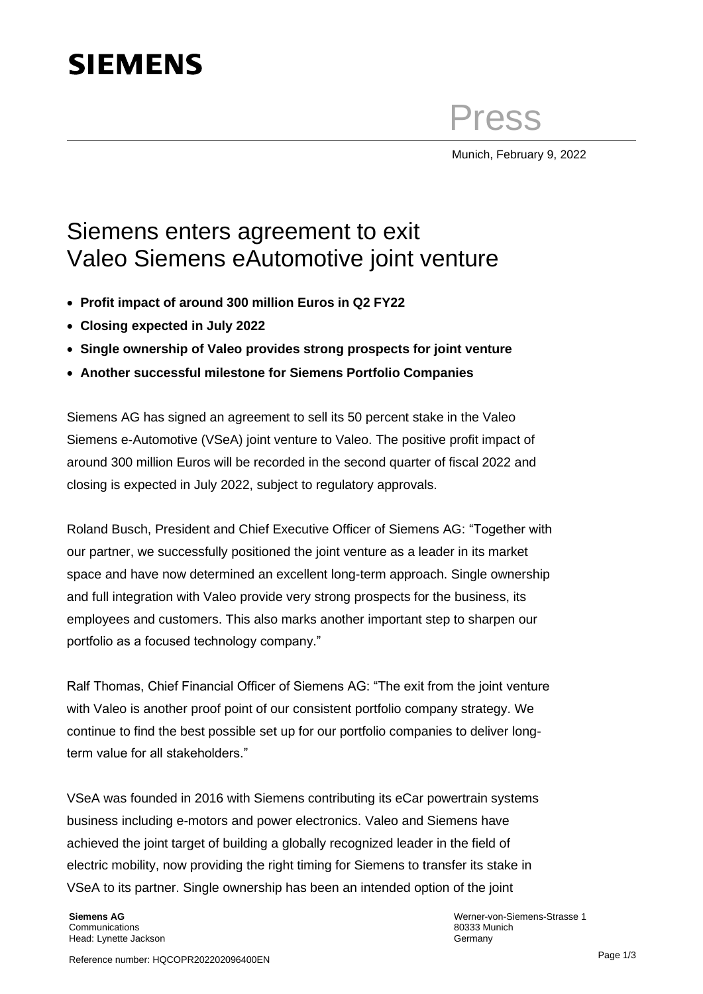# **SIEMENS**

Press

Munich, February 9, 2022

## Siemens enters agreement to exit Valeo Siemens eAutomotive joint venture

- **Profit impact of around 300 million Euros in Q2 FY22**
- **Closing expected in July 2022**
- **Single ownership of Valeo provides strong prospects for joint venture**
- **Another successful milestone for Siemens Portfolio Companies**

Siemens AG has signed an agreement to sell its 50 percent stake in the Valeo Siemens e-Automotive (VSeA) joint venture to Valeo. The positive profit impact of around 300 million Euros will be recorded in the second quarter of fiscal 2022 and closing is expected in July 2022, subject to regulatory approvals.

Roland Busch, President and Chief Executive Officer of Siemens AG: "Together with our partner, we successfully positioned the joint venture as a leader in its market space and have now determined an excellent long-term approach. Single ownership and full integration with Valeo provide very strong prospects for the business, its employees and customers. This also marks another important step to sharpen our portfolio as a focused technology company."

Ralf Thomas, Chief Financial Officer of Siemens AG: "The exit from the joint venture with Valeo is another proof point of our consistent portfolio company strategy. We continue to find the best possible set up for our portfolio companies to deliver longterm value for all stakeholders."

VSeA was founded in 2016 with Siemens contributing its eCar powertrain systems business including e-motors and power electronics. Valeo and Siemens have achieved the joint target of building a globally recognized leader in the field of electric mobility, now providing the right timing for Siemens to transfer its stake in VSeA to its partner. Single ownership has been an intended option of the joint

**Siemens AG** Communications Head: Lynette Jackson Werner-von-Siemens-Strasse 1 80333 Munich Germany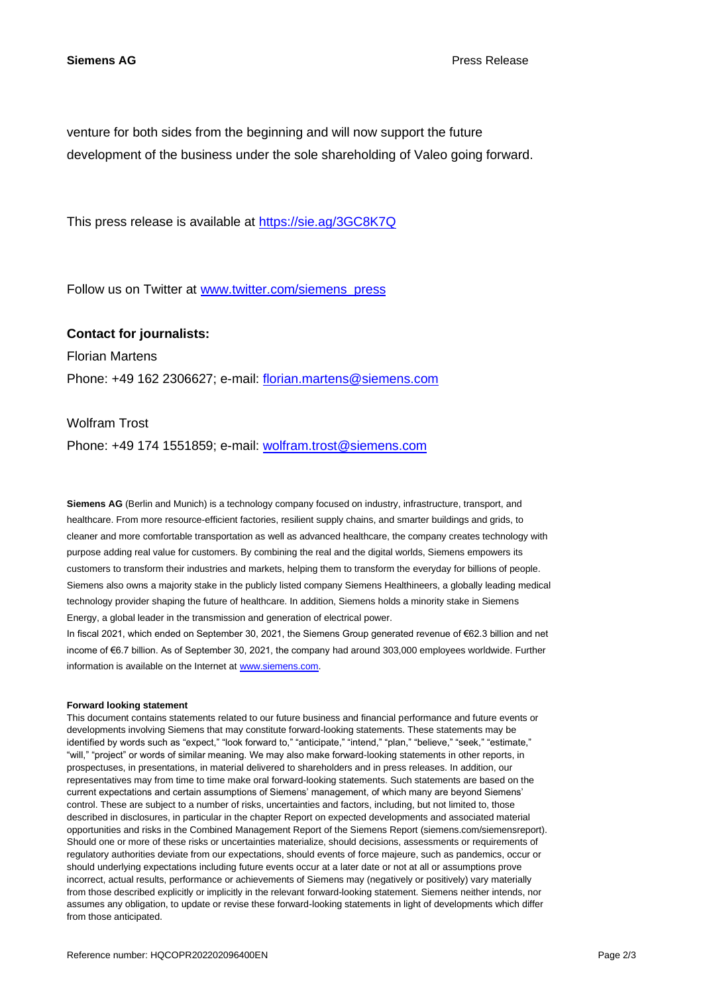venture for both sides from the beginning and will now support the future development of the business under the sole shareholding of Valeo going forward.

This press release is available at<https://sie.ag/3GC8K7Q>

Follow us on Twitter at [www.twitter.com/siemens\\_press](http://www.twitter.com/siemens_press)

### **Contact for journalists:**

Florian Martens

Phone: +49 162 2306627; e-mail: [florian.martens@siemens.com](mailto:florian.martens@siemens.com)

### Wolfram Trost

Phone: +49 174 1551859; e-mail: [wolfram.trost@siemens.com](mailto:wolfram.trost@siemens.com)

**Siemens AG** (Berlin and Munich) is a technology company focused on industry, infrastructure, transport, and healthcare. From more resource-efficient factories, resilient supply chains, and smarter buildings and grids, to cleaner and more comfortable transportation as well as advanced healthcare, the company creates technology with purpose adding real value for customers. By combining the real and the digital worlds, Siemens empowers its customers to transform their industries and markets, helping them to transform the everyday for billions of people. Siemens also owns a majority stake in the publicly listed company Siemens Healthineers, a globally leading medical technology provider shaping the future of healthcare. In addition, Siemens holds a minority stake in Siemens Energy, a global leader in the transmission and generation of electrical power.

In fiscal 2021, which ended on September 30, 2021, the Siemens Group generated revenue of €62.3 billion and net income of €6.7 billion. As of September 30, 2021, the company had around 303,000 employees worldwide. Further information is available on the Internet at [www.siemens.com.](http://www.siemens.com/)

#### **Forward looking statement**

This document contains statements related to our future business and financial performance and future events or developments involving Siemens that may constitute forward-looking statements. These statements may be identified by words such as "expect," "look forward to," "anticipate," "intend," "plan," "believe," "seek," "estimate," "will," "project" or words of similar meaning. We may also make forward-looking statements in other reports, in prospectuses, in presentations, in material delivered to shareholders and in press releases. In addition, our representatives may from time to time make oral forward-looking statements. Such statements are based on the current expectations and certain assumptions of Siemens' management, of which many are beyond Siemens' control. These are subject to a number of risks, uncertainties and factors, including, but not limited to, those described in disclosures, in particular in the chapter Report on expected developments and associated material opportunities and risks in the Combined Management Report of the Siemens Report (siemens.com/siemensreport). Should one or more of these risks or uncertainties materialize, should decisions, assessments or requirements of regulatory authorities deviate from our expectations, should events of force majeure, such as pandemics, occur or should underlying expectations including future events occur at a later date or not at all or assumptions prove incorrect, actual results, performance or achievements of Siemens may (negatively or positively) vary materially from those described explicitly or implicitly in the relevant forward-looking statement. Siemens neither intends, nor assumes any obligation, to update or revise these forward-looking statements in light of developments which differ from those anticipated.